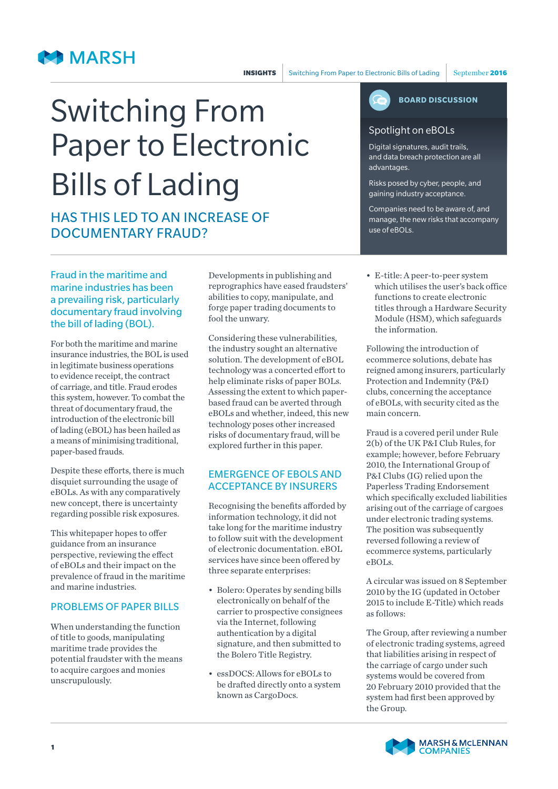## **MARSH**

# Switching From Paper to Electronic Bills of Lading

## HAS THIS LED TO AN INCREASE OF DOCUMENTARY FRAUD?

Fraud in the maritime and marine industries has been a prevailing risk, particularly documentary fraud involving the bill of lading (BOL).

For both the maritime and marine insurance industries, the BOL is used in legitimate business operations to evidence receipt, the contract of carriage, and title. Fraud erodes this system, however. To combat the threat of documentary fraud, the introduction of the electronic bill of lading (eBOL) has been hailed as a means of minimising traditional, paper-based frauds.

Despite these efforts, there is much disquiet surrounding the usage of eBOLs. As with any comparatively new concept, there is uncertainty regarding possible risk exposures.

This whitepaper hopes to offer guidance from an insurance perspective, reviewing the effect of eBOLs and their impact on the prevalence of fraud in the maritime and marine industries.

#### PROBLEMS OF PAPER BILLS

When understanding the function of title to goods, manipulating maritime trade provides the potential fraudster with the means to acquire cargoes and monies unscrupulously.

Developments in publishing and reprographics have eased fraudsters' abilities to copy, manipulate, and forge paper trading documents to fool the unwary.

Considering these vulnerabilities, the industry sought an alternative solution. The development of eBOL technology was a concerted effort to help eliminate risks of paper BOLs. Assessing the extent to which paperbased fraud can be averted through eBOLs and whether, indeed, this new technology poses other increased risks of documentary fraud, will be explored further in this paper.

#### EMERGENCE OF EBOLS AND ACCEPTANCE BY INSURERS

Recognising the benefits afforded by information technology, it did not take long for the maritime industry to follow suit with the development of electronic documentation. eBOL services have since been offered by three separate enterprises:

- Bolero: Operates by sending bills electronically on behalf of the carrier to prospective consignees via the Internet, following authentication by a digital signature, and then submitted to the Bolero Title Registry.
- essDOCS: Allows for eBOLs to be drafted directly onto a system known as CargoDocs.



#### Spotlight on eBOLs

Digital signatures, audit trails, and data breach protection are all advantages.

Risks posed by cyber, people, and gaining industry acceptance.

Companies need to be aware of, and manage, the new risks that accompany use of eBOLs.

• E-title: A peer-to-peer system which utilises the user's back office functions to create electronic titles through a Hardware Security Module (HSM), which safeguards the information.

Following the introduction of ecommerce solutions, debate has reigned among insurers, particularly Protection and Indemnity (P&I) clubs, concerning the acceptance of eBOLs, with security cited as the main concern.

Fraud is a covered peril under Rule 2(b) of the UK P&I Club Rules, for example; however, before February 2010, the International Group of P&I Clubs (IG) relied upon the Paperless Trading Endorsement which specifically excluded liabilities arising out of the carriage of cargoes under electronic trading systems. The position was subsequently reversed following a review of ecommerce systems, particularly eBOLs.

A circular was issued on 8 September 2010 by the IG (updated in October 2015 to include E-Title) which reads as follows:

The Group, after reviewing a number of electronic trading systems, agreed that liabilities arising in respect of the carriage of cargo under such systems would be covered from 20 February 2010 provided that the system had first been approved by the Group.

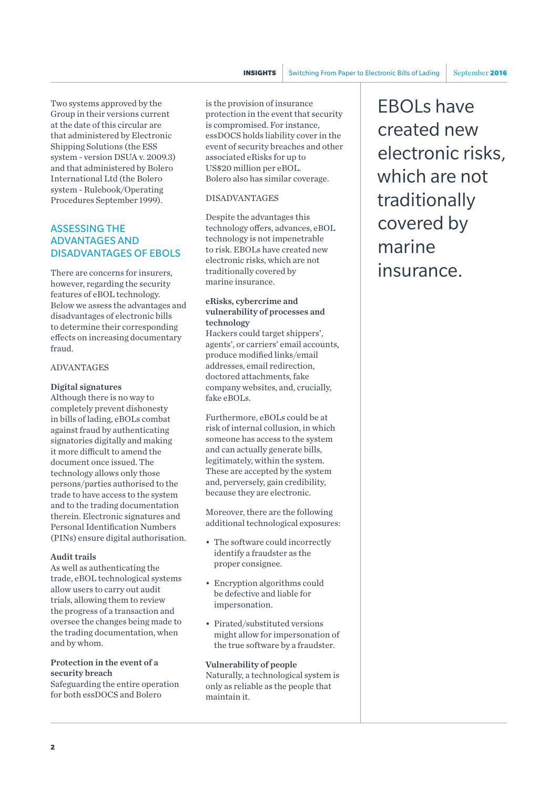Two systems approved by the Group in their versions current at the date of this circular are that administered by Electronic Shipping Solutions (the ESS system - version DSUA v. 2009.3) and that administered by Bolero International Ltd (the Bolero system - Rulebook/Operating Procedures September 1999).

#### ASSESSING THE ADVANTAGES AND DISADVANTAGES OF EBOLS

There are concerns for insurers, however, regarding the security features of eBOL technology. Below we assess the advantages and disadvantages of electronic bills to determine their corresponding effects on increasing documentary fraud.

#### ADVANTAGES

## Digital signatures

Although there is no way to completely prevent dishonesty in bills of lading, eBOLs combat against fraud by authenticating signatories digitally and making it more difficult to amend the document once issued. The technology allows only those persons/parties authorised to the trade to have access to the system and to the trading documentation therein. Electronic signatures and Personal Identification Numbers (PINs) ensure digital authorisation.

#### Audit trails

As well as authenticating the trade, eBOL technological systems allow users to carry out audit trials, allowing them to review the progress of a transaction and oversee the changes being made to the trading documentation, when and by whom.

## Protection in the event of a security breach

Safeguarding the entire operation for both essDOCS and Bolero

is the provision of insurance protection in the event that security is compromised. For instance, essDOCS holds liability cover in the event of security breaches and other associated eRisks for up to US\$20 million per eBOL. Bolero also has similar coverage.

#### DISADVANTAGES

Despite the advantages this technology offers, advances, eBOL technology is not impenetrable to risk. EBOLs have created new electronic risks, which are not traditionally covered by marine insurance.

#### eRisks, cybercrime and vulnerability of processes and technology

Hackers could target shippers', agents', or carriers' email accounts, produce modified links/email addresses, email redirection, doctored attachments, fake company websites, and, crucially, fake eBOLs.

Furthermore, eBOLs could be at risk of internal collusion, in which someone has access to the system and can actually generate bills, legitimately, within the system. These are accepted by the system and, perversely, gain credibility, because they are electronic.

Moreover, there are the following additional technological exposures:

- The software could incorrectly identify a fraudster as the proper consignee.
- Encryption algorithms could be defective and liable for impersonation.
- Pirated/substituted versions might allow for impersonation of the true software by a fraudster.

Vulnerability of people Naturally, a technological system is only as reliable as the people that maintain it.

EBOLs have created new electronic risks, which are not traditionally covered by marine insurance.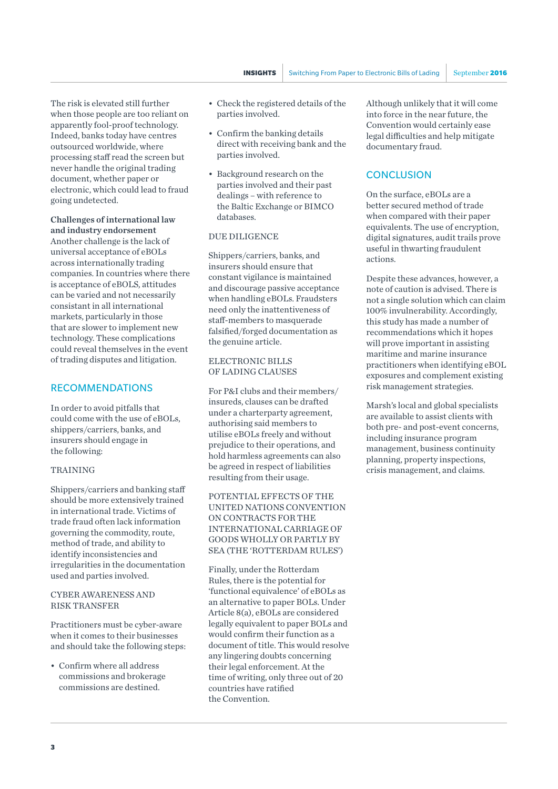The risk is elevated still further when those people are too reliant on apparently fool-proof technology. Indeed, banks today have centres outsourced worldwide, where processing staff read the screen but never handle the original trading document, whether paper or electronic, which could lead to fraud going undetected.

### Challenges of international law and industry endorsement

Another challenge is the lack of universal acceptance of eBOLs across internationally trading companies. In countries where there is acceptance of eBOLS, attitudes can be varied and not necessarily consistant in all international markets, particularly in those that are slower to implement new technology. These complications could reveal themselves in the event of trading disputes and litigation.

#### RECOMMENDATIONS

In order to avoid pitfalls that could come with the use of eBOLs, shippers/carriers, banks, and insurers should engage in the following:

#### TRAINING

Shippers/carriers and banking staff should be more extensively trained in international trade. Victims of trade fraud often lack information governing the commodity, route, method of trade, and ability to identify inconsistencies and irregularities in the documentation used and parties involved.

#### CYBER AWARENESS AND RISK TRANSFER

Practitioners must be cyber-aware when it comes to their businesses and should take the following steps:

• Confirm where all address commissions and brokerage commissions are destined.

- Check the registered details of the parties involved.
- Confirm the banking details direct with receiving bank and the parties involved.
- Background research on the parties involved and their past dealings – with reference to the Baltic Exchange or BIMCO databases.

#### DUE DILIGENCE

Shippers/carriers, banks, and insurers should ensure that constant vigilance is maintained and discourage passive acceptance when handling eBOLs. Fraudsters need only the inattentiveness of staff-members to masquerade falsified/forged documentation as the genuine article.

#### ELECTRONIC BILLS OF LADING CLAUSES

For P&I clubs and their members/ insureds, clauses can be drafted under a charterparty agreement, authorising said members to utilise eBOLs freely and without prejudice to their operations, and hold harmless agreements can also be agreed in respect of liabilities resulting from their usage.

POTENTIAL EFFECTS OF THE UNITED NATIONS CONVENTION ON CONTRACTS FOR THE INTERNATIONAL CARRIAGE OF GOODS WHOLLY OR PARTLY BY SEA (THE 'ROTTERDAM RULES')

Finally, under the Rotterdam Rules, there is the potential for 'functional equivalence' of eBOLs as an alternative to paper BOLs. Under Article 8(a), eBOLs are considered legally equivalent to paper BOLs and would confirm their function as a document of title. This would resolve any lingering doubts concerning their legal enforcement. At the time of writing, only three out of 20 countries have ratified the Convention.

Although unlikely that it will come into force in the near future, the Convention would certainly ease legal difficulties and help mitigate documentary fraud.

#### **CONCLUSION**

On the surface, eBOLs are a better secured method of trade when compared with their paper equivalents. The use of encryption, digital signatures, audit trails prove useful in thwarting fraudulent actions.

Despite these advances, however, a note of caution is advised. There is not a single solution which can claim 100% invulnerability. Accordingly, this study has made a number of recommendations which it hopes will prove important in assisting maritime and marine insurance practitioners when identifying eBOL exposures and complement existing risk management strategies.

Marsh's local and global specialists are available to assist clients with both pre- and post-event concerns, including insurance program management, business continuity planning, property inspections, crisis management, and claims.